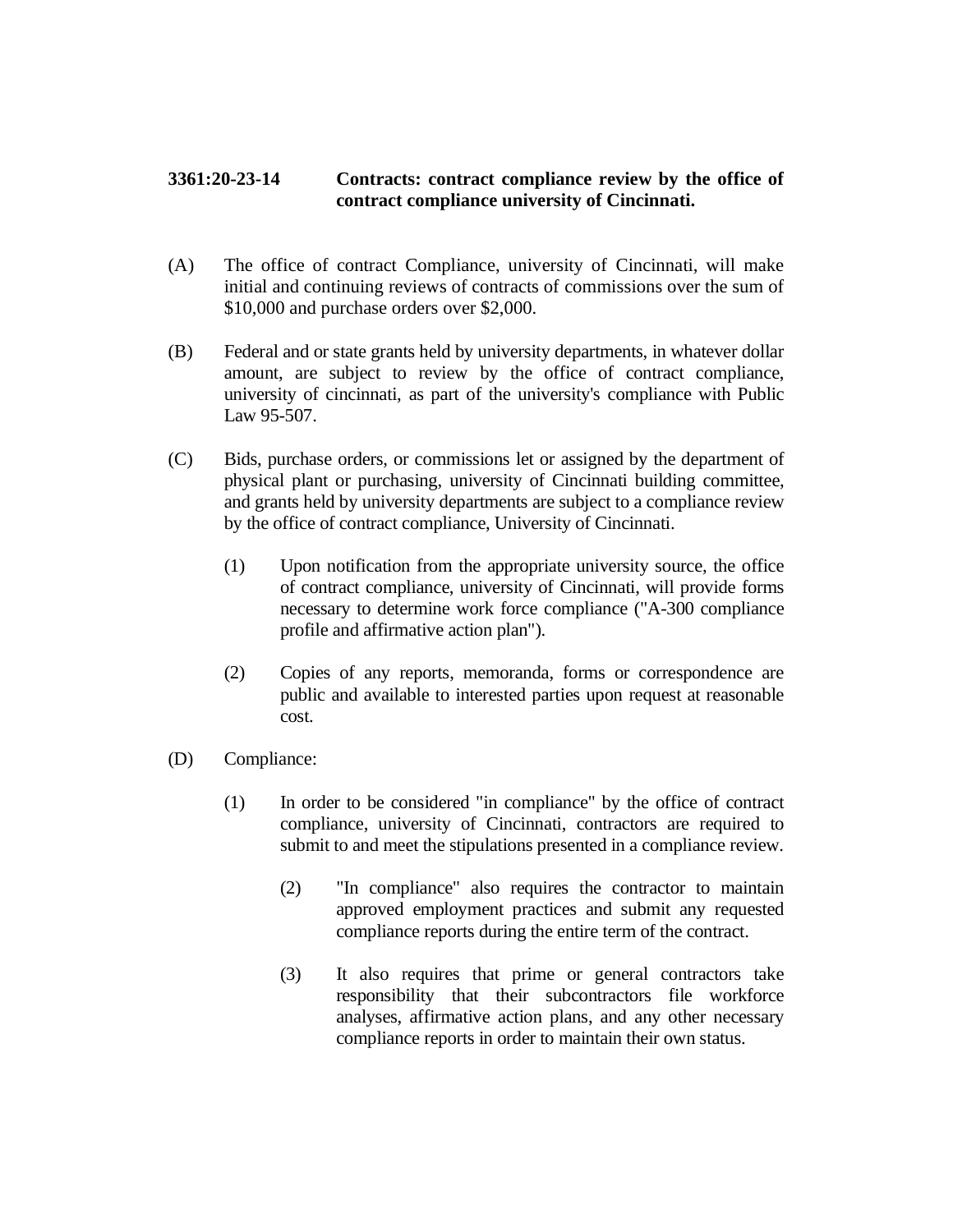## **3361:20-23-14 Contracts: contract compliance review by the office of contract compliance university of Cincinnati.**

- (A) The office of contract Compliance, university of Cincinnati, will make initial and continuing reviews of contracts of commissions over the sum of \$10,000 and purchase orders over \$2,000.
- (B) Federal and or state grants held by university departments, in whatever dollar amount, are subject to review by the office of contract compliance, university of cincinnati, as part of the university's compliance with Public Law 95-507.
- (C) Bids, purchase orders, or commissions let or assigned by the department of physical plant or purchasing, university of Cincinnati building committee, and grants held by university departments are subject to a compliance review by the office of contract compliance, University of Cincinnati.
	- (1) Upon notification from the appropriate university source, the office of contract compliance, university of Cincinnati, will provide forms necessary to determine work force compliance ("A-300 compliance profile and affirmative action plan").
	- (2) Copies of any reports, memoranda, forms or correspondence are public and available to interested parties upon request at reasonable cost.
- (D) Compliance:
	- (1) In order to be considered "in compliance" by the office of contract compliance, university of Cincinnati, contractors are required to submit to and meet the stipulations presented in a compliance review.
		- (2) "In compliance" also requires the contractor to maintain approved employment practices and submit any requested compliance reports during the entire term of the contract.
		- (3) It also requires that prime or general contractors take responsibility that their subcontractors file workforce analyses, affirmative action plans, and any other necessary compliance reports in order to maintain their own status.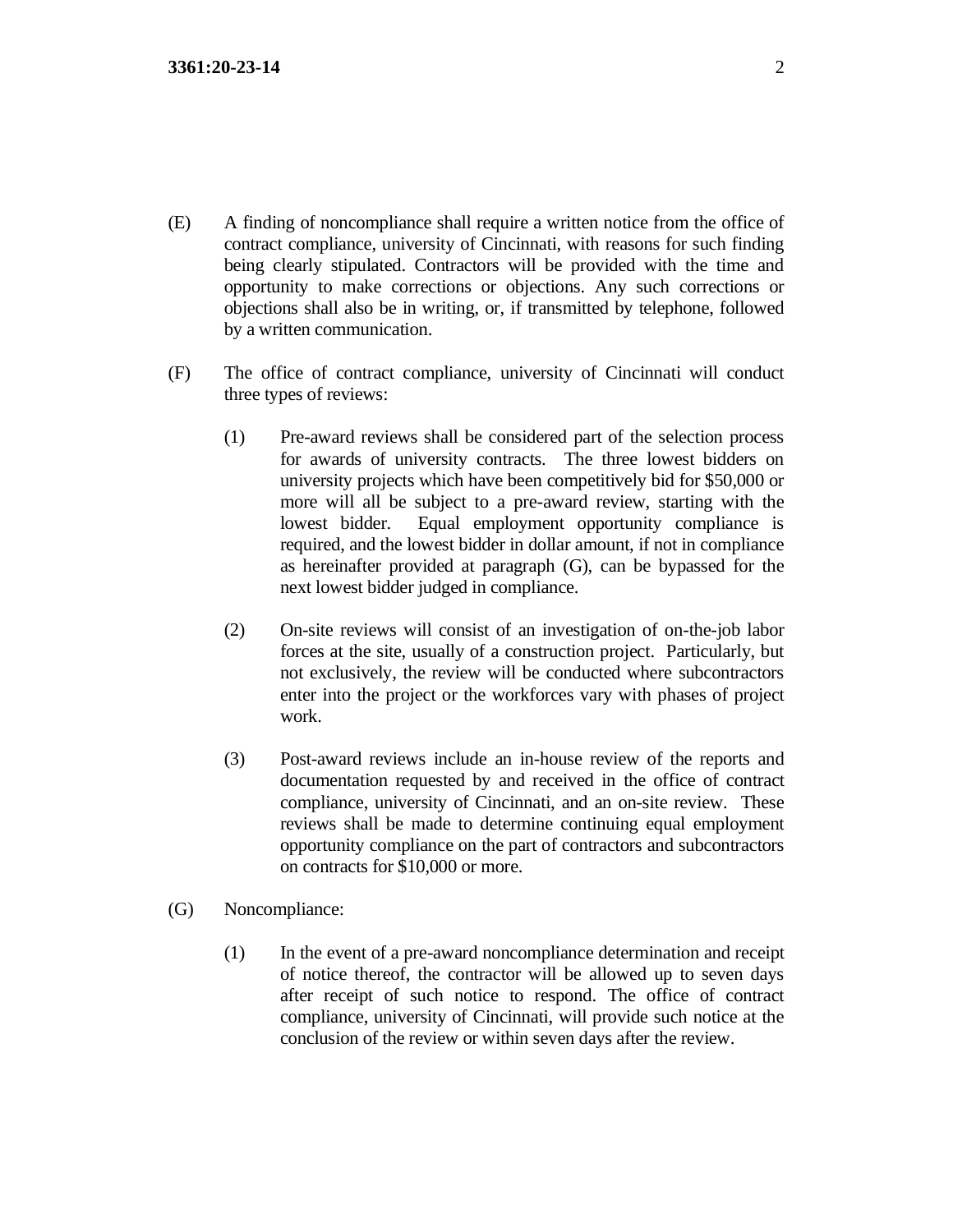- (E) A finding of noncompliance shall require a written notice from the office of contract compliance, university of Cincinnati, with reasons for such finding being clearly stipulated. Contractors will be provided with the time and opportunity to make corrections or objections. Any such corrections or objections shall also be in writing, or, if transmitted by telephone, followed by a written communication.
- (F) The office of contract compliance, university of Cincinnati will conduct three types of reviews:
	- (1) Pre-award reviews shall be considered part of the selection process for awards of university contracts. The three lowest bidders on university projects which have been competitively bid for \$50,000 or more will all be subject to a pre-award review, starting with the lowest bidder. Equal employment opportunity compliance is required, and the lowest bidder in dollar amount, if not in compliance as hereinafter provided at paragraph (G), can be bypassed for the next lowest bidder judged in compliance.
	- (2) On-site reviews will consist of an investigation of on-the-job labor forces at the site, usually of a construction project. Particularly, but not exclusively, the review will be conducted where subcontractors enter into the project or the workforces vary with phases of project work.
	- (3) Post-award reviews include an in-house review of the reports and documentation requested by and received in the office of contract compliance, university of Cincinnati, and an on-site review. These reviews shall be made to determine continuing equal employment opportunity compliance on the part of contractors and subcontractors on contracts for \$10,000 or more.
- (G) Noncompliance:
	- (1) In the event of a pre-award noncompliance determination and receipt of notice thereof, the contractor will be allowed up to seven days after receipt of such notice to respond. The office of contract compliance, university of Cincinnati, will provide such notice at the conclusion of the review or within seven days after the review.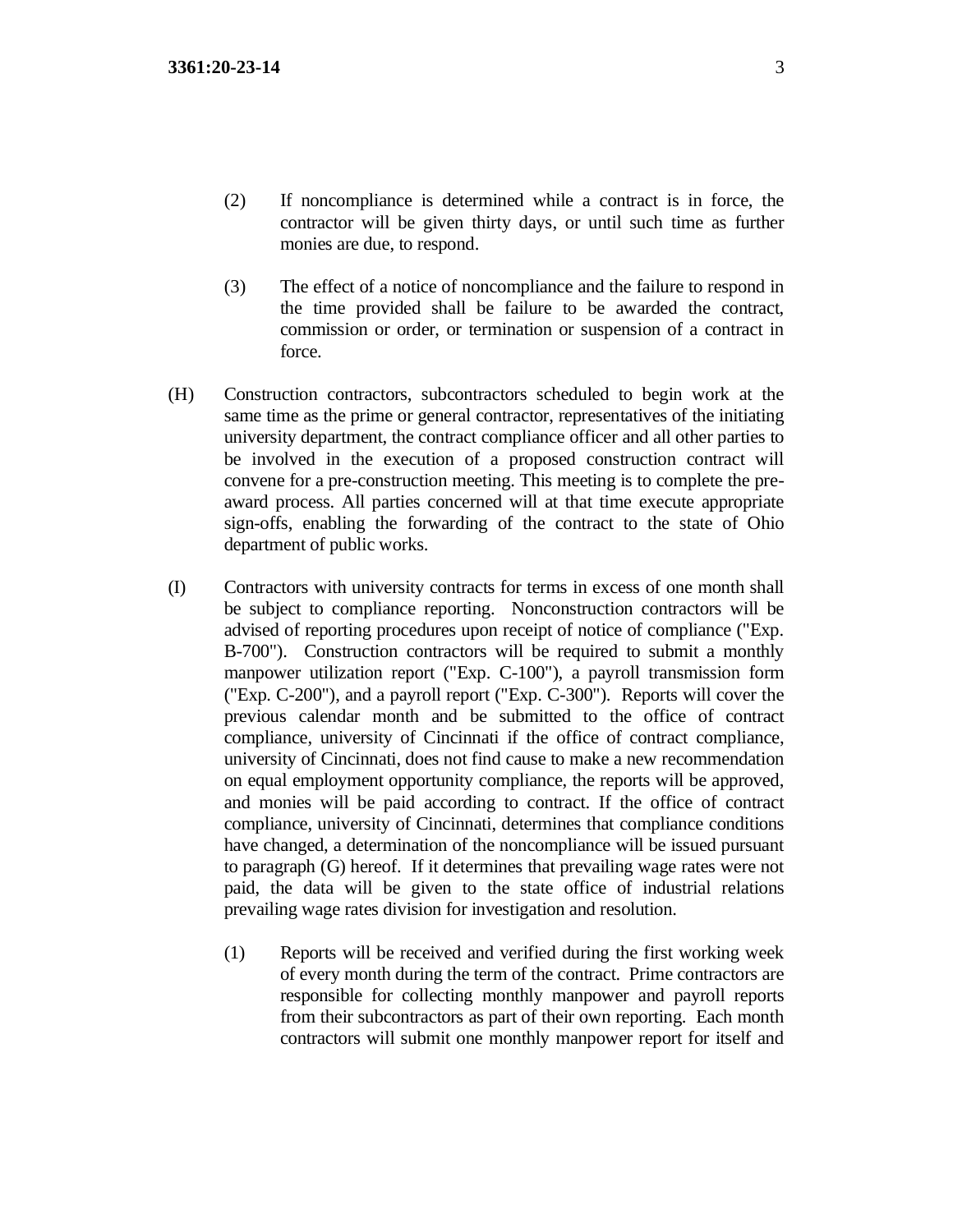- (2) If noncompliance is determined while a contract is in force, the contractor will be given thirty days, or until such time as further monies are due, to respond.
- (3) The effect of a notice of noncompliance and the failure to respond in the time provided shall be failure to be awarded the contract, commission or order, or termination or suspension of a contract in force.
- (H) Construction contractors, subcontractors scheduled to begin work at the same time as the prime or general contractor, representatives of the initiating university department, the contract compliance officer and all other parties to be involved in the execution of a proposed construction contract will convene for a pre-construction meeting. This meeting is to complete the preaward process. All parties concerned will at that time execute appropriate sign-offs, enabling the forwarding of the contract to the state of Ohio department of public works.
- (I) Contractors with university contracts for terms in excess of one month shall be subject to compliance reporting. Nonconstruction contractors will be advised of reporting procedures upon receipt of notice of compliance ("Exp. B-700"). Construction contractors will be required to submit a monthly manpower utilization report ("Exp. C-100"), a payroll transmission form ("Exp. C-200"), and a payroll report ("Exp. C-300"). Reports will cover the previous calendar month and be submitted to the office of contract compliance, university of Cincinnati if the office of contract compliance, university of Cincinnati, does not find cause to make a new recommendation on equal employment opportunity compliance, the reports will be approved, and monies will be paid according to contract. If the office of contract compliance, university of Cincinnati, determines that compliance conditions have changed, a determination of the noncompliance will be issued pursuant to paragraph (G) hereof. If it determines that prevailing wage rates were not paid, the data will be given to the state office of industrial relations prevailing wage rates division for investigation and resolution.
	- (1) Reports will be received and verified during the first working week of every month during the term of the contract. Prime contractors are responsible for collecting monthly manpower and payroll reports from their subcontractors as part of their own reporting. Each month contractors will submit one monthly manpower report for itself and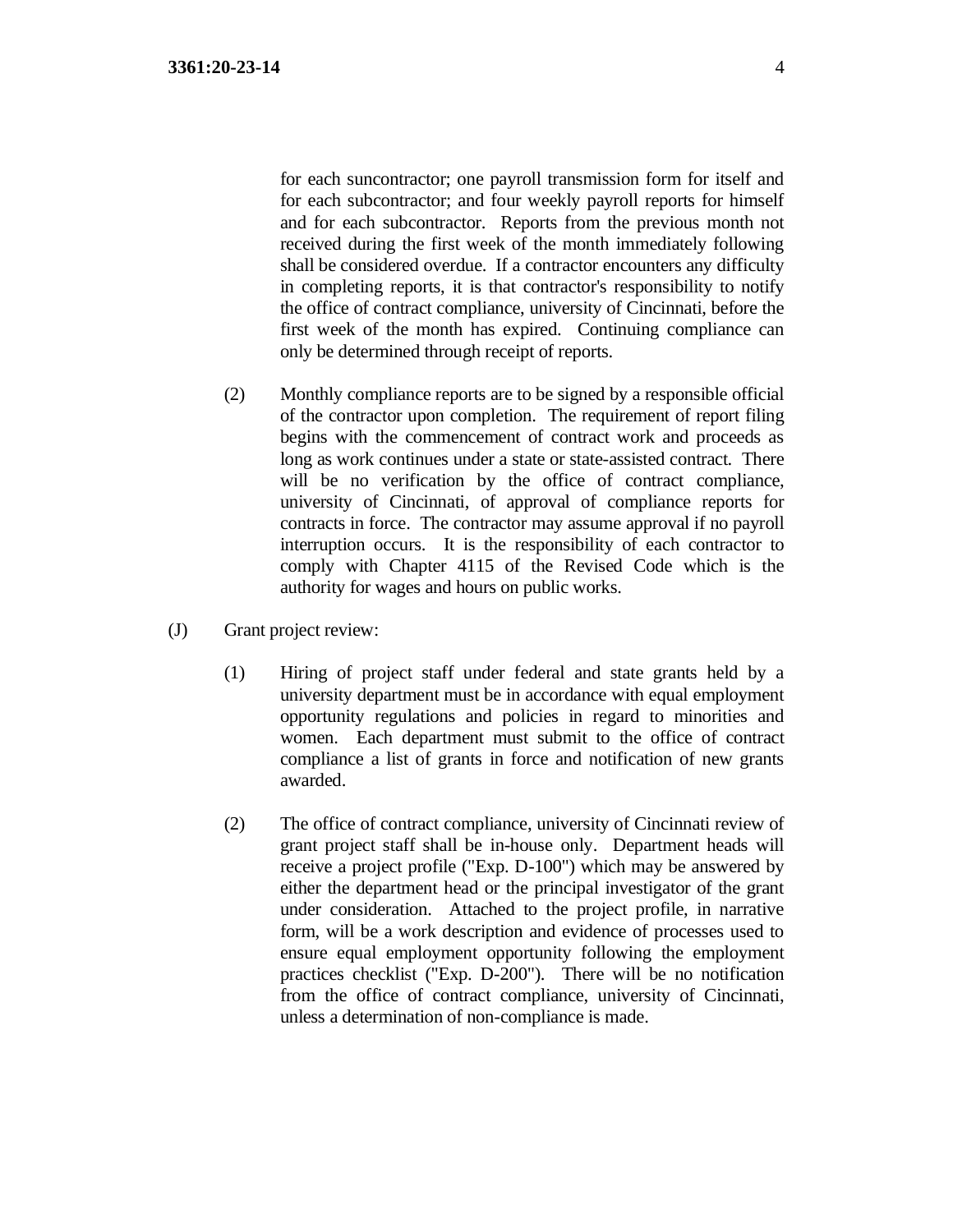for each suncontractor; one payroll transmission form for itself and for each subcontractor; and four weekly payroll reports for himself and for each subcontractor. Reports from the previous month not received during the first week of the month immediately following shall be considered overdue. If a contractor encounters any difficulty in completing reports, it is that contractor's responsibility to notify the office of contract compliance, university of Cincinnati, before the first week of the month has expired. Continuing compliance can only be determined through receipt of reports.

- (2) Monthly compliance reports are to be signed by a responsible official of the contractor upon completion. The requirement of report filing begins with the commencement of contract work and proceeds as long as work continues under a state or state-assisted contract. There will be no verification by the office of contract compliance, university of Cincinnati, of approval of compliance reports for contracts in force. The contractor may assume approval if no payroll interruption occurs. It is the responsibility of each contractor to comply with Chapter 4115 of the Revised Code which is the authority for wages and hours on public works.
- (J) Grant project review:
	- (1) Hiring of project staff under federal and state grants held by a university department must be in accordance with equal employment opportunity regulations and policies in regard to minorities and women. Each department must submit to the office of contract compliance a list of grants in force and notification of new grants awarded.
	- (2) The office of contract compliance, university of Cincinnati review of grant project staff shall be in-house only. Department heads will receive a project profile ("Exp. D-100") which may be answered by either the department head or the principal investigator of the grant under consideration. Attached to the project profile, in narrative form, will be a work description and evidence of processes used to ensure equal employment opportunity following the employment practices checklist ("Exp. D-200"). There will be no notification from the office of contract compliance, university of Cincinnati, unless a determination of non-compliance is made.